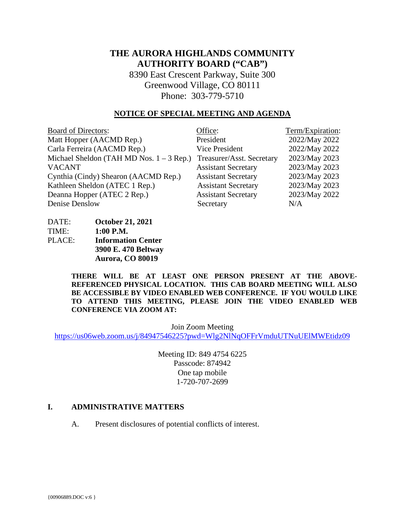# **THE AURORA HIGHLANDS COMMUNITY AUTHORITY BOARD ("CAB")**

8390 East Crescent Parkway, Suite 300 Greenwood Village, CO 80111 Phone: 303-779-5710

#### **NOTICE OF SPECIAL MEETING AND AGENDA**

| <b>Board of Directors:</b>                 | Office:                    | Term/Expiration: |
|--------------------------------------------|----------------------------|------------------|
| Matt Hopper (AACMD Rep.)                   | President                  | 2022/May 2022    |
| Carla Ferreira (AACMD Rep.)                | <b>Vice President</b>      | 2022/May 2022    |
| Michael Sheldon (TAH MD Nos. $1 - 3$ Rep.) | Treasurer/Asst. Secretary  | 2023/May 2023    |
| <b>VACANT</b>                              | <b>Assistant Secretary</b> | 2023/May 2023    |
| Cynthia (Cindy) Shearon (AACMD Rep.)       | <b>Assistant Secretary</b> | 2023/May 2023    |
| Kathleen Sheldon (ATEC 1 Rep.)             | <b>Assistant Secretary</b> | 2023/May 2023    |
| Deanna Hopper (ATEC 2 Rep.)                | <b>Assistant Secretary</b> | 2023/May 2022    |
| Denise Denslow                             | Secretary                  | N/A              |

DATE: **October 21, 2021** TIME: **1:00 P.M.** PLACE: **Information Center 3900 E. 470 Beltway Aurora, CO 80019** 

> **THERE WILL BE AT LEAST ONE PERSON PRESENT AT THE ABOVE-REFERENCED PHYSICAL LOCATION. THIS CAB BOARD MEETING WILL ALSO BE ACCESSIBLE BY VIDEO ENABLED WEB CONFERENCE. IF YOU WOULD LIKE TO ATTEND THIS MEETING, PLEASE JOIN THE VIDEO ENABLED WEB CONFERENCE VIA ZOOM AT:**

> > Join Zoom Meeting

<https://us06web.zoom.us/j/84947546225?pwd=Wlg2NlNqOFFrVmduUTNuUElMWEtidz09>

Meeting ID: 849 4754 6225 Passcode: 874942 One tap mobile 1-720-707-2699

## **I. ADMINISTRATIVE MATTERS**

A. Present disclosures of potential conflicts of interest.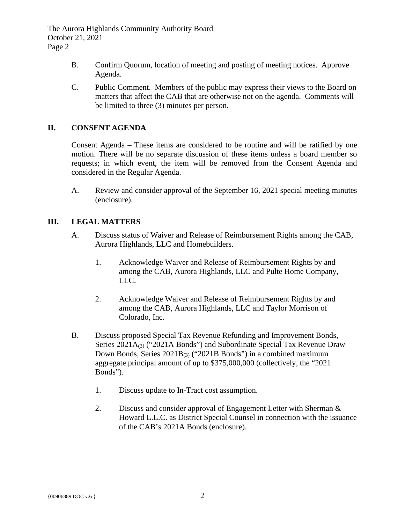- B. Confirm Quorum, location of meeting and posting of meeting notices. Approve Agenda.
- C. Public Comment. Members of the public may express their views to the Board on matters that affect the CAB that are otherwise not on the agenda. Comments will be limited to three (3) minutes per person.

## **II. CONSENT AGENDA**

Consent Agenda – These items are considered to be routine and will be ratified by one motion. There will be no separate discussion of these items unless a board member so requests; in which event, the item will be removed from the Consent Agenda and considered in the Regular Agenda.

A. Review and consider approval of the September 16, 2021 special meeting minutes (enclosure).

## **III. LEGAL MATTERS**

- A. Discuss status of Waiver and Release of Reimbursement Rights among the CAB, Aurora Highlands, LLC and Homebuilders.
	- 1. Acknowledge Waiver and Release of Reimbursement Rights by and among the CAB, Aurora Highlands, LLC and Pulte Home Company, LLC.
	- 2. Acknowledge Waiver and Release of Reimbursement Rights by and among the CAB, Aurora Highlands, LLC and Taylor Morrison of Colorado, Inc.
- B. Discuss proposed Special Tax Revenue Refunding and Improvement Bonds, Series  $2021A_{(3)}$  ("2021A Bonds") and Subordinate Special Tax Revenue Draw Down Bonds, Series  $2021B_{(3)}$  ("2021B Bonds") in a combined maximum aggregate principal amount of up to \$375,000,000 (collectively, the "2021 Bonds").
	- 1. Discuss update to In-Tract cost assumption.
	- 2. Discuss and consider approval of Engagement Letter with Sherman & Howard L.L.C. as District Special Counsel in connection with the issuance of the CAB's 2021A Bonds (enclosure).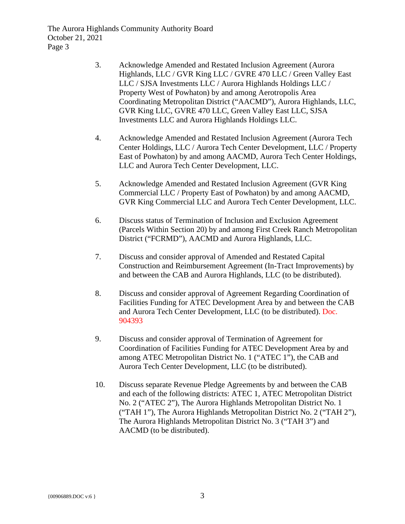- 3. Acknowledge Amended and Restated Inclusion Agreement (Aurora Highlands, LLC / GVR King LLC / GVRE 470 LLC / Green Valley East LLC / SJSA Investments LLC / Aurora Highlands Holdings LLC / Property West of Powhaton) by and among Aerotropolis Area Coordinating Metropolitan District ("AACMD"), Aurora Highlands, LLC, GVR King LLC, GVRE 470 LLC, Green Valley East LLC, SJSA Investments LLC and Aurora Highlands Holdings LLC.
- 4. Acknowledge Amended and Restated Inclusion Agreement (Aurora Tech Center Holdings, LLC / Aurora Tech Center Development, LLC / Property East of Powhaton) by and among AACMD, Aurora Tech Center Holdings, LLC and Aurora Tech Center Development, LLC.
- 5. Acknowledge Amended and Restated Inclusion Agreement (GVR King Commercial LLC / Property East of Powhaton) by and among AACMD, GVR King Commercial LLC and Aurora Tech Center Development, LLC.
- 6. Discuss status of Termination of Inclusion and Exclusion Agreement (Parcels Within Section 20) by and among First Creek Ranch Metropolitan District ("FCRMD"), AACMD and Aurora Highlands, LLC.
- 7. Discuss and consider approval of Amended and Restated Capital Construction and Reimbursement Agreement (In-Tract Improvements) by and between the CAB and Aurora Highlands, LLC (to be distributed).
- 8. Discuss and consider approval of Agreement Regarding Coordination of Facilities Funding for ATEC Development Area by and between the CAB and Aurora Tech Center Development, LLC (to be distributed). Doc. 904393
- 9. Discuss and consider approval of Termination of Agreement for Coordination of Facilities Funding for ATEC Development Area by and among ATEC Metropolitan District No. 1 ("ATEC 1"), the CAB and Aurora Tech Center Development, LLC (to be distributed).
- 10. Discuss separate Revenue Pledge Agreements by and between the CAB and each of the following districts: ATEC 1, ATEC Metropolitan District No. 2 ("ATEC 2"), The Aurora Highlands Metropolitan District No. 1 ("TAH 1"), The Aurora Highlands Metropolitan District No. 2 ("TAH 2"), The Aurora Highlands Metropolitan District No. 3 ("TAH 3") and AACMD (to be distributed).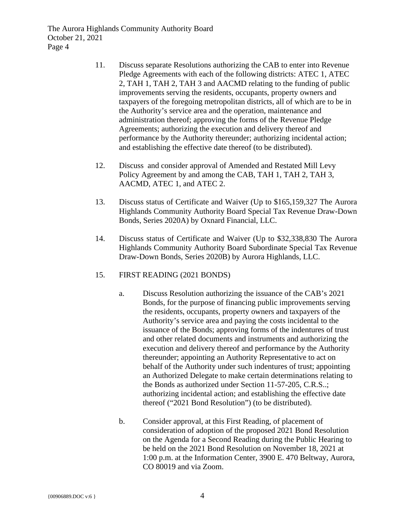- 11. Discuss separate Resolutions authorizing the CAB to enter into Revenue Pledge Agreements with each of the following districts: ATEC 1, ATEC 2, TAH 1, TAH 2, TAH 3 and AACMD relating to the funding of public improvements serving the residents, occupants, property owners and taxpayers of the foregoing metropolitan districts, all of which are to be in the Authority's service area and the operation, maintenance and administration thereof; approving the forms of the Revenue Pledge Agreements; authorizing the execution and delivery thereof and performance by the Authority thereunder; authorizing incidental action; and establishing the effective date thereof (to be distributed).
- 12. Discuss and consider approval of Amended and Restated Mill Levy Policy Agreement by and among the CAB, TAH 1, TAH 2, TAH 3, AACMD, ATEC 1, and ATEC 2.
- 13. Discuss status of Certificate and Waiver (Up to \$165,159,327 The Aurora Highlands Community Authority Board Special Tax Revenue Draw-Down Bonds, Series 2020A) by Oxnard Financial, LLC.
- 14. Discuss status of Certificate and Waiver (Up to \$32,338,830 The Aurora Highlands Community Authority Board Subordinate Special Tax Revenue Draw-Down Bonds, Series 2020B) by Aurora Highlands, LLC.
- 15. FIRST READING (2021 BONDS)
	- a. Discuss Resolution authorizing the issuance of the CAB's 2021 Bonds, for the purpose of financing public improvements serving the residents, occupants, property owners and taxpayers of the Authority's service area and paying the costs incidental to the issuance of the Bonds; approving forms of the indentures of trust and other related documents and instruments and authorizing the execution and delivery thereof and performance by the Authority thereunder; appointing an Authority Representative to act on behalf of the Authority under such indentures of trust; appointing an Authorized Delegate to make certain determinations relating to the Bonds as authorized under Section 11-57-205, C.R.S..; authorizing incidental action; and establishing the effective date thereof ("2021 Bond Resolution") (to be distributed).
	- b. Consider approval, at this First Reading, of placement of consideration of adoption of the proposed 2021 Bond Resolution on the Agenda for a Second Reading during the Public Hearing to be held on the 2021 Bond Resolution on November 18, 2021 at 1:00 p.m. at the Information Center, 3900 E. 470 Beltway, Aurora, CO 80019 and via Zoom.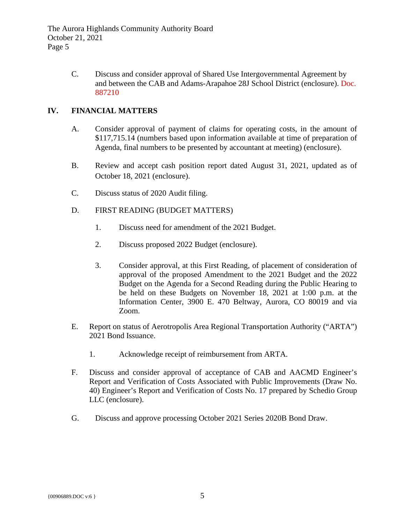> C. Discuss and consider approval of Shared Use Intergovernmental Agreement by and between the CAB and Adams-Arapahoe 28J School District (enclosure). Doc. 887210

# **IV. FINANCIAL MATTERS**

- A. Consider approval of payment of claims for operating costs, in the amount of \$117,715.14 (numbers based upon information available at time of preparation of Agenda, final numbers to be presented by accountant at meeting) (enclosure).
- B. Review and accept cash position report dated August 31, 2021, updated as of October 18, 2021 (enclosure).
- C. Discuss status of 2020 Audit filing.
- D. FIRST READING (BUDGET MATTERS)
	- 1. Discuss need for amendment of the 2021 Budget.
	- 2. Discuss proposed 2022 Budget (enclosure).
	- 3. Consider approval, at this First Reading, of placement of consideration of approval of the proposed Amendment to the 2021 Budget and the 2022 Budget on the Agenda for a Second Reading during the Public Hearing to be held on these Budgets on November 18, 2021 at 1:00 p.m. at the Information Center, 3900 E. 470 Beltway, Aurora, CO 80019 and via Zoom.
- E. Report on status of Aerotropolis Area Regional Transportation Authority ("ARTA") 2021 Bond Issuance.
	- 1. Acknowledge receipt of reimbursement from ARTA.
- F. Discuss and consider approval of acceptance of CAB and AACMD Engineer's Report and Verification of Costs Associated with Public Improvements (Draw No. 40) Engineer's Report and Verification of Costs No. 17 prepared by Schedio Group LLC (enclosure).
- G. Discuss and approve processing October 2021 Series 2020B Bond Draw.